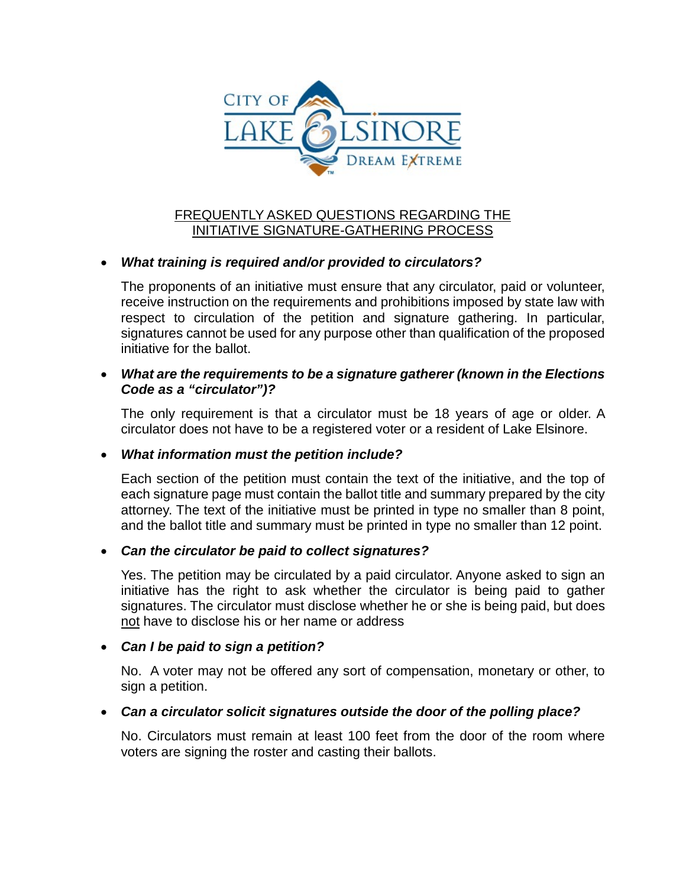

# FREQUENTLY ASKED QUESTIONS REGARDING THE INITIATIVE SIGNATURE-GATHERING PROCESS

#### • *What training is required and/or provided to circulators?*

The proponents of an initiative must ensure that any circulator, paid or volunteer, receive instruction on the requirements and prohibitions imposed by state law with respect to circulation of the petition and signature gathering. In particular, signatures cannot be used for any purpose other than qualification of the proposed initiative for the ballot.

#### • *What are the requirements to be a signature gatherer (known in the Elections Code as a "circulator")?*

The only requirement is that a circulator must be 18 years of age or older. A circulator does not have to be a registered voter or a resident of Lake Elsinore.

#### • *What information must the petition include?*

Each section of the petition must contain the text of the initiative, and the top of each signature page must contain the ballot title and summary prepared by the city attorney. The text of the initiative must be printed in type no smaller than 8 point, and the ballot title and summary must be printed in type no smaller than 12 point.

#### • *Can the circulator be paid to collect signatures?*

Yes. The petition may be circulated by a paid circulator. Anyone asked to sign an initiative has the right to ask whether the circulator is being paid to gather signatures. The circulator must disclose whether he or she is being paid, but does not have to disclose his or her name or address

#### • *Can I be paid to sign a petition?*

No. A voter may not be offered any sort of compensation, monetary or other, to sign a petition.

## • *Can a circulator solicit signatures outside the door of the polling place?*

No. Circulators must remain at least 100 feet from the door of the room where voters are signing the roster and casting their ballots.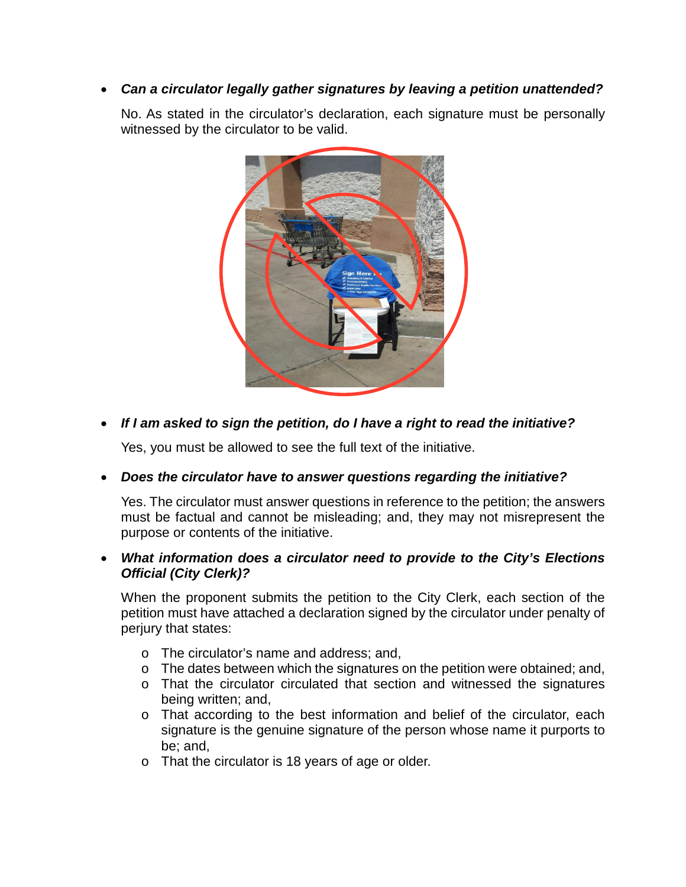## • *Can a circulator legally gather signatures by leaving a petition unattended?*

No. As stated in the circulator's declaration, each signature must be personally witnessed by the circulator to be valid.



# • *If I am asked to sign the petition, do I have a right to read the initiative?*

Yes, you must be allowed to see the full text of the initiative.

## • *Does the circulator have to answer questions regarding the initiative?*

Yes. The circulator must answer questions in reference to the petition; the answers must be factual and cannot be misleading; and, they may not misrepresent the purpose or contents of the initiative.

#### • *What information does a circulator need to provide to the City's Elections Official (City Clerk)?*

When the proponent submits the petition to the City Clerk, each section of the petition must have attached a declaration signed by the circulator under penalty of perjury that states:

- o The circulator's name and address; and,
- o The dates between which the signatures on the petition were obtained; and,
- o That the circulator circulated that section and witnessed the signatures being written; and,
- o That according to the best information and belief of the circulator, each signature is the genuine signature of the person whose name it purports to be; and,
- o That the circulator is 18 years of age or older.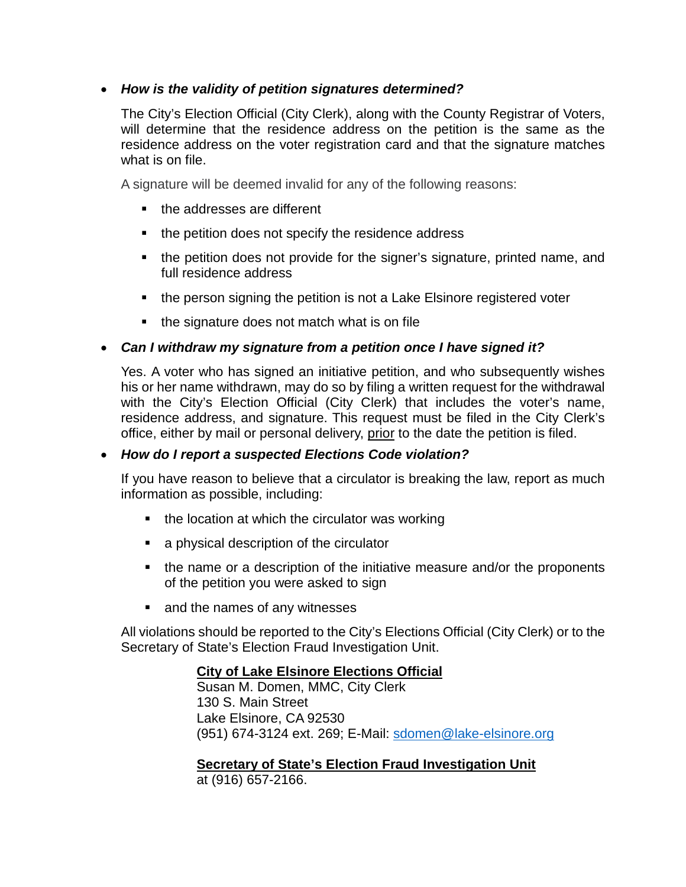## • *How is the validity of petition signatures determined?*

The City's Election Official (City Clerk), along with the County Registrar of Voters, will determine that the residence address on the petition is the same as the residence address on the voter registration card and that the signature matches what is on file.

A signature will be deemed invalid for any of the following reasons:

- the addresses are different
- $\blacksquare$  the petition does not specify the residence address
- the petition does not provide for the signer's signature, printed name, and full residence address
- the person signing the petition is not a Lake Elsinore registered voter
- $\blacksquare$  the signature does not match what is on file

## • *Can I withdraw my signature from a petition once I have signed it?*

Yes. A voter who has signed an initiative petition, and who subsequently wishes his or her name withdrawn, may do so by filing a written request for the withdrawal with the City's Election Official (City Clerk) that includes the voter's name, residence address, and signature. This request must be filed in the City Clerk's office, either by mail or personal delivery, prior to the date the petition is filed.

#### • *How do I report a suspected Elections Code violation?*

If you have reason to believe that a circulator is breaking the law, report as much information as possible, including:

- $\blacksquare$  the location at which the circulator was working
- a physical description of the circulator
- the name or a description of the initiative measure and/or the proponents of the petition you were asked to sign
- and the names of any witnesses

All violations should be reported to the City's Elections Official (City Clerk) or to the Secretary of State's Election Fraud Investigation Unit.

## **City of Lake Elsinore Elections Official**

Susan M. Domen, MMC, City Clerk 130 S. Main Street Lake Elsinore, CA 92530 (951) 674-3124 ext. 269; E-Mail: [sdomen@lake-elsinore.org](mailto:sdomen@lake-elsinore.org)

## **Secretary of State's Election Fraud Investigation Unit**

at (916) 657-2166.